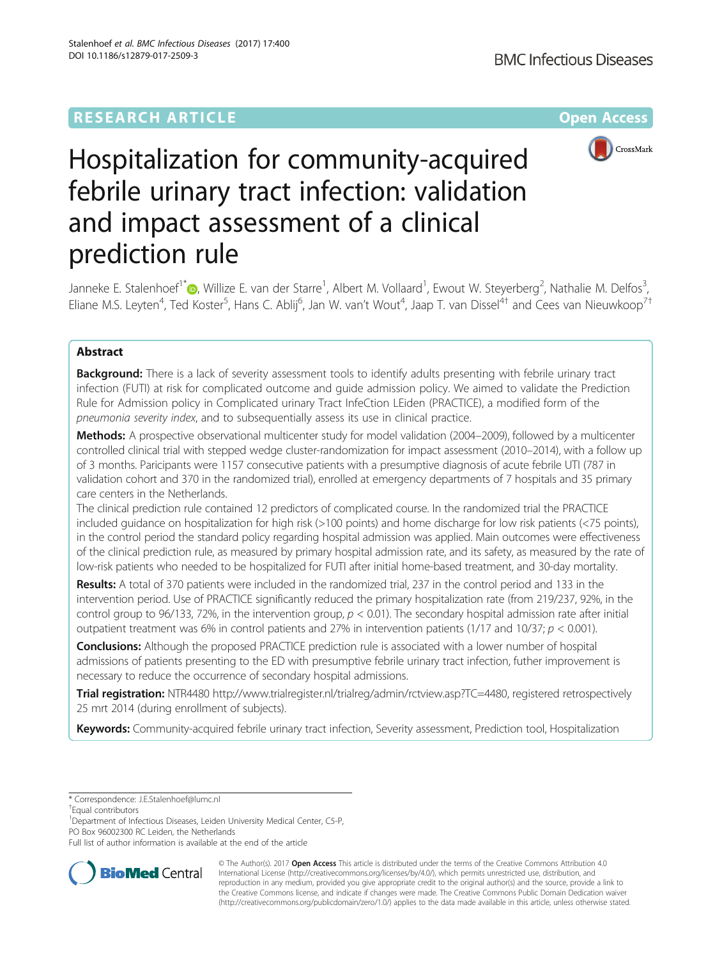# **RESEARCH ARTICLE Example 2014 12:30 The Contract of Contract Article 2014**



# Hospitalization for community-acquired febrile urinary tract infection: validation and impact assessment of a clinical prediction rule

Janneke E. Stalenhoef<sup>1[\\*](http://orcid.org/0000-0003-1486-3045)</sup>®, Willize E. van der Starre<sup>1</sup>, Albert M. Vollaard<sup>1</sup>, Ewout W. Steyerberg<sup>2</sup>, Nathalie M. Delfos<sup>3</sup> .<br>. Eliane M.S. Leyten<sup>4</sup>, Ted Koster<sup>5</sup>, Hans C. Ablij<sup>6</sup>, Jan W. van't Wout<sup>4</sup>, Jaap T. van Dissel<sup>4†</sup> and Cees van Nieuwkoop<sup>7†</sup>

# Abstract

Background: There is a lack of severity assessment tools to identify adults presenting with febrile urinary tract infection (FUTI) at risk for complicated outcome and guide admission policy. We aimed to validate the Prediction Rule for Admission policy in Complicated urinary Tract InfeCtion LEiden (PRACTICE), a modified form of the pneumonia severity index, and to subsequentially assess its use in clinical practice.

Methods: A prospective observational multicenter study for model validation (2004–2009), followed by a multicenter controlled clinical trial with stepped wedge cluster-randomization for impact assessment (2010–2014), with a follow up of 3 months. Paricipants were 1157 consecutive patients with a presumptive diagnosis of acute febrile UTI (787 in validation cohort and 370 in the randomized trial), enrolled at emergency departments of 7 hospitals and 35 primary care centers in the Netherlands.

The clinical prediction rule contained 12 predictors of complicated course. In the randomized trial the PRACTICE included guidance on hospitalization for high risk (>100 points) and home discharge for low risk patients (<75 points), in the control period the standard policy regarding hospital admission was applied. Main outcomes were effectiveness of the clinical prediction rule, as measured by primary hospital admission rate, and its safety, as measured by the rate of low-risk patients who needed to be hospitalized for FUTI after initial home-based treatment, and 30-day mortality.

Results: A total of 370 patients were included in the randomized trial, 237 in the control period and 133 in the intervention period. Use of PRACTICE significantly reduced the primary hospitalization rate (from 219/237, 92%, in the control group to 96/133, 72%, in the intervention group,  $p < 0.01$ ). The secondary hospital admission rate after initial outpatient treatment was 6% in control patients and 27% in intervention patients (1/17 and 10/37;  $p < 0.001$ ).

**Conclusions:** Although the proposed PRACTICE prediction rule is associated with a lower number of hospital admissions of patients presenting to the ED with presumptive febrile urinary tract infection, futher improvement is necessary to reduce the occurrence of secondary hospital admissions.

Trial registration: NTR4480<http://www.trialregister.nl/trialreg/admin/rctview.asp?TC=4480>, registered retrospectively 25 mrt 2014 (during enrollment of subjects).

Keywords: Community-acquired febrile urinary tract infection, Severity assessment, Prediction tool, Hospitalization

<sup>1</sup>Department of Infectious Diseases, Leiden University Medical Center, C5-P, PO Box 96002300 RC Leiden, the Netherlands

Full list of author information is available at the end of the article



© The Author(s). 2017 **Open Access** This article is distributed under the terms of the Creative Commons Attribution 4.0 International License [\(http://creativecommons.org/licenses/by/4.0/](http://creativecommons.org/licenses/by/4.0/)), which permits unrestricted use, distribution, and reproduction in any medium, provided you give appropriate credit to the original author(s) and the source, provide a link to the Creative Commons license, and indicate if changes were made. The Creative Commons Public Domain Dedication waiver [\(http://creativecommons.org/publicdomain/zero/1.0/](http://creativecommons.org/publicdomain/zero/1.0/)) applies to the data made available in this article, unless otherwise stated.

<sup>\*</sup> Correspondence: [J.E.Stalenhoef@lumc.nl](mailto:J.E.Stalenhoef@lumc.nl) †

Equal contributors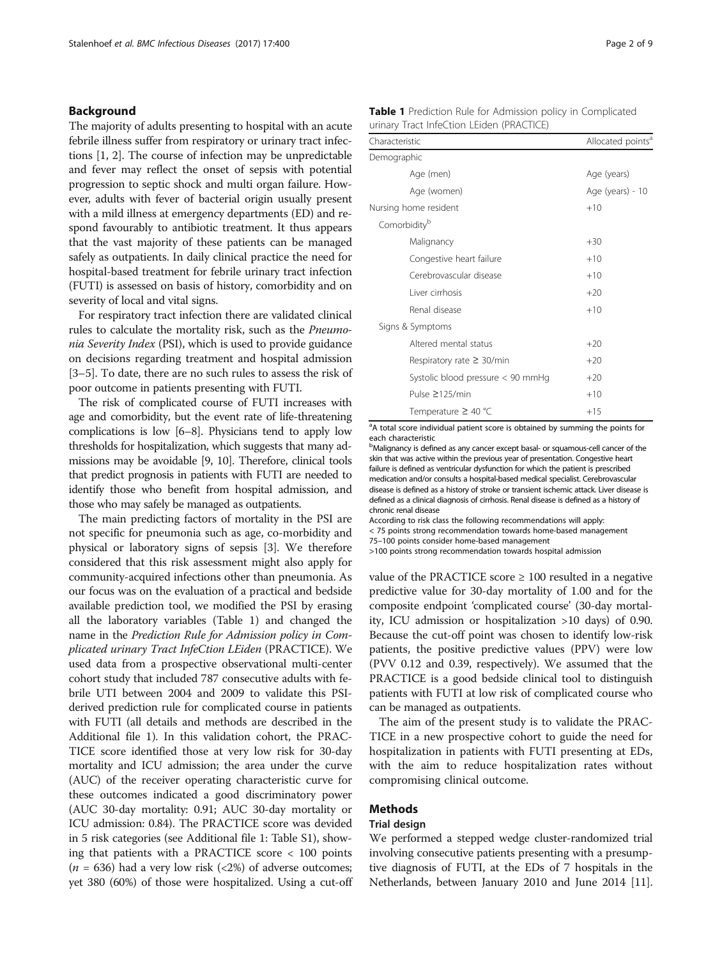# <span id="page-1-0"></span>Background

The majority of adults presenting to hospital with an acute febrile illness suffer from respiratory or urinary tract infections [[1](#page-8-0), [2](#page-8-0)]. The course of infection may be unpredictable and fever may reflect the onset of sepsis with potential progression to septic shock and multi organ failure. However, adults with fever of bacterial origin usually present with a mild illness at emergency departments (ED) and respond favourably to antibiotic treatment. It thus appears that the vast majority of these patients can be managed safely as outpatients. In daily clinical practice the need for hospital-based treatment for febrile urinary tract infection (FUTI) is assessed on basis of history, comorbidity and on severity of local and vital signs.

For respiratory tract infection there are validated clinical rules to calculate the mortality risk, such as the Pneumonia Severity Index (PSI), which is used to provide guidance on decisions regarding treatment and hospital admission [[3](#page-8-0)–[5](#page-8-0)]. To date, there are no such rules to assess the risk of poor outcome in patients presenting with FUTI.

The risk of complicated course of FUTI increases with age and comorbidity, but the event rate of life-threatening complications is low [\[6](#page-8-0)–[8\]](#page-8-0). Physicians tend to apply low thresholds for hospitalization, which suggests that many admissions may be avoidable [\[9, 10\]](#page-8-0). Therefore, clinical tools that predict prognosis in patients with FUTI are needed to identify those who benefit from hospital admission, and those who may safely be managed as outpatients.

The main predicting factors of mortality in the PSI are not specific for pneumonia such as age, co-morbidity and physical or laboratory signs of sepsis [[3](#page-8-0)]. We therefore considered that this risk assessment might also apply for community-acquired infections other than pneumonia. As our focus was on the evaluation of a practical and bedside available prediction tool, we modified the PSI by erasing all the laboratory variables (Table 1) and changed the name in the Prediction Rule for Admission policy in Complicated urinary Tract InfeCtion LEiden (PRACTICE). We used data from a prospective observational multi-center cohort study that included 787 consecutive adults with febrile UTI between 2004 and 2009 to validate this PSIderived prediction rule for complicated course in patients with FUTI (all details and methods are described in the Additional file [1](#page-7-0)). In this validation cohort, the PRAC-TICE score identified those at very low risk for 30-day mortality and ICU admission; the area under the curve (AUC) of the receiver operating characteristic curve for these outcomes indicated a good discriminatory power (AUC 30-day mortality: 0.91; AUC 30-day mortality or ICU admission: 0.84). The PRACTICE score was devided in 5 risk categories (see Additional file [1:](#page-7-0) Table S1), showing that patients with a PRACTICE score < 100 points  $(n = 636)$  had a very low risk  $\left\langle \frac{2\%}{2} \right\rangle$  of adverse outcomes; yet 380 (60%) of those were hospitalized. Using a cut-off

| Table 1 Prediction Rule for Admission policy in Complicated |  |  |  |
|-------------------------------------------------------------|--|--|--|
| urinary Tract InfeCtion LEiden (PRACTICE)                   |  |  |  |

| Characteristic                    | Allocated points <sup>®</sup> |
|-----------------------------------|-------------------------------|
| Demographic                       |                               |
| Age (men)                         | Age (years)                   |
| Age (women)                       | Age (years) - 10              |
| Nursing home resident             | $+10$                         |
| Comorbidityb                      |                               |
| Malignancy                        | $+30$                         |
| Congestive heart failure          | $+10$                         |
| Cerebrovascular disease           | $+10$                         |
| Liver cirrhosis                   | $+20$                         |
| Renal disease                     | $+10$                         |
| Signs & Symptoms                  |                               |
| Altered mental status             | $+20$                         |
| Respiratory rate $\geq$ 30/min    | $+20$                         |
| Systolic blood pressure < 90 mmHg | $+20$                         |
| Pulse ≥125/min                    | $+10$                         |
| Temperature $\geq$ 40 °C          | $+15$                         |

<sup>a</sup>A total score individual patient score is obtained by summing the points for each characteristic

**bMalignancy is defined as any cancer except basal- or squamous-cell cancer of the** skin that was active within the previous year of presentation. Congestive heart failure is defined as ventricular dysfunction for which the patient is prescribed medication and/or consults a hospital-based medical specialist. Cerebrovascular disease is defined as a history of stroke or transient ischemic attack. Liver disease is defined as a clinical diagnosis of cirrhosis. Renal disease is defined as a history of chronic renal disease

According to risk class the following recommendations will apply: < 75 points strong recommendation towards home-based management

75–100 points consider home-based management

>100 points strong recommendation towards hospital admission

value of the PRACTICE score  $\geq 100$  resulted in a negative predictive value for 30-day mortality of 1.00 and for the composite endpoint 'complicated course' (30-day mortality, ICU admission or hospitalization >10 days) of 0.90. Because the cut-off point was chosen to identify low-risk patients, the positive predictive values (PPV) were low (PVV 0.12 and 0.39, respectively). We assumed that the PRACTICE is a good bedside clinical tool to distinguish patients with FUTI at low risk of complicated course who can be managed as outpatients.

The aim of the present study is to validate the PRAC-TICE in a new prospective cohort to guide the need for hospitalization in patients with FUTI presenting at EDs, with the aim to reduce hospitalization rates without compromising clinical outcome.

## Methods

# Trial design

We performed a stepped wedge cluster-randomized trial involving consecutive patients presenting with a presumptive diagnosis of FUTI, at the EDs of 7 hospitals in the Netherlands, between January 2010 and June 2014 [[11](#page-8-0)].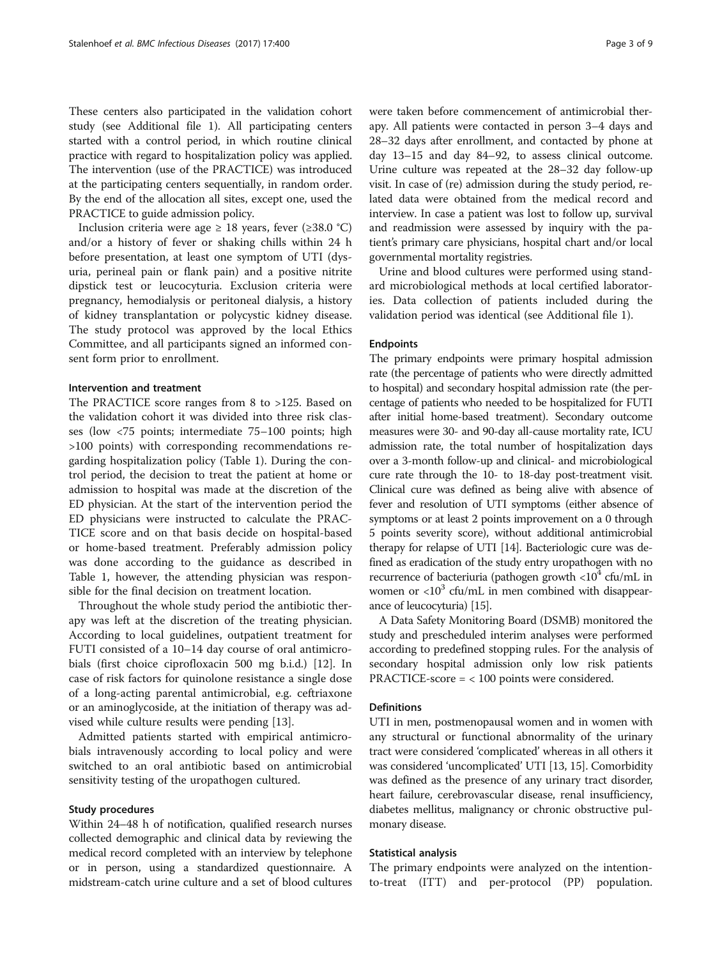These centers also participated in the validation cohort study (see Additional file [1\)](#page-7-0). All participating centers started with a control period, in which routine clinical practice with regard to hospitalization policy was applied. The intervention (use of the PRACTICE) was introduced at the participating centers sequentially, in random order. By the end of the allocation all sites, except one, used the PRACTICE to guide admission policy.

Inclusion criteria were age ≥ 18 years, fever (≥38.0 °C) and/or a history of fever or shaking chills within 24 h before presentation, at least one symptom of UTI (dysuria, perineal pain or flank pain) and a positive nitrite dipstick test or leucocyturia. Exclusion criteria were pregnancy, hemodialysis or peritoneal dialysis, a history of kidney transplantation or polycystic kidney disease. The study protocol was approved by the local Ethics Committee, and all participants signed an informed consent form prior to enrollment.

# Intervention and treatment

The PRACTICE score ranges from 8 to >125. Based on the validation cohort it was divided into three risk classes (low <75 points; intermediate 75–100 points; high >100 points) with corresponding recommendations regarding hospitalization policy (Table [1\)](#page-1-0). During the control period, the decision to treat the patient at home or admission to hospital was made at the discretion of the ED physician. At the start of the intervention period the ED physicians were instructed to calculate the PRAC-TICE score and on that basis decide on hospital-based or home-based treatment. Preferably admission policy was done according to the guidance as described in Table [1](#page-1-0), however, the attending physician was responsible for the final decision on treatment location.

Throughout the whole study period the antibiotic therapy was left at the discretion of the treating physician. According to local guidelines, outpatient treatment for FUTI consisted of a 10–14 day course of oral antimicrobials (first choice ciprofloxacin 500 mg b.i.d.) [[12\]](#page-8-0). In case of risk factors for quinolone resistance a single dose of a long-acting parental antimicrobial, e.g. ceftriaxone or an aminoglycoside, at the initiation of therapy was advised while culture results were pending [[13](#page-8-0)].

Admitted patients started with empirical antimicrobials intravenously according to local policy and were switched to an oral antibiotic based on antimicrobial sensitivity testing of the uropathogen cultured.

## Study procedures

Within 24–48 h of notification, qualified research nurses collected demographic and clinical data by reviewing the medical record completed with an interview by telephone or in person, using a standardized questionnaire. A midstream-catch urine culture and a set of blood cultures

were taken before commencement of antimicrobial therapy. All patients were contacted in person 3–4 days and 28–32 days after enrollment, and contacted by phone at day 13–15 and day 84–92, to assess clinical outcome. Urine culture was repeated at the 28–32 day follow-up visit. In case of (re) admission during the study period, related data were obtained from the medical record and interview. In case a patient was lost to follow up, survival and readmission were assessed by inquiry with the patient's primary care physicians, hospital chart and/or local governmental mortality registries.

Urine and blood cultures were performed using standard microbiological methods at local certified laboratories. Data collection of patients included during the validation period was identical (see Additional file [1](#page-7-0)).

# Endpoints

The primary endpoints were primary hospital admission rate (the percentage of patients who were directly admitted to hospital) and secondary hospital admission rate (the percentage of patients who needed to be hospitalized for FUTI after initial home-based treatment). Secondary outcome measures were 30- and 90-day all-cause mortality rate, ICU admission rate, the total number of hospitalization days over a 3-month follow-up and clinical- and microbiological cure rate through the 10- to 18-day post-treatment visit. Clinical cure was defined as being alive with absence of fever and resolution of UTI symptoms (either absence of symptoms or at least 2 points improvement on a 0 through 5 points severity score), without additional antimicrobial therapy for relapse of UTI [\[14](#page-8-0)]. Bacteriologic cure was defined as eradication of the study entry uropathogen with no recurrence of bacteriuria (pathogen growth  $\langle 10^4 \text{ cftu/mL} \rangle$  in women or  $<$ 10<sup>3</sup> cfu/mL in men combined with disappearance of leucocyturia) [\[15\]](#page-8-0).

A Data Safety Monitoring Board (DSMB) monitored the study and prescheduled interim analyses were performed according to predefined stopping rules. For the analysis of secondary hospital admission only low risk patients PRACTICE-score = < 100 points were considered.

# Definitions

UTI in men, postmenopausal women and in women with any structural or functional abnormality of the urinary tract were considered 'complicated' whereas in all others it was considered 'uncomplicated' UTI [\[13, 15](#page-8-0)]. Comorbidity was defined as the presence of any urinary tract disorder, heart failure, cerebrovascular disease, renal insufficiency, diabetes mellitus, malignancy or chronic obstructive pulmonary disease.

#### Statistical analysis

The primary endpoints were analyzed on the intentionto-treat (ITT) and per-protocol (PP) population.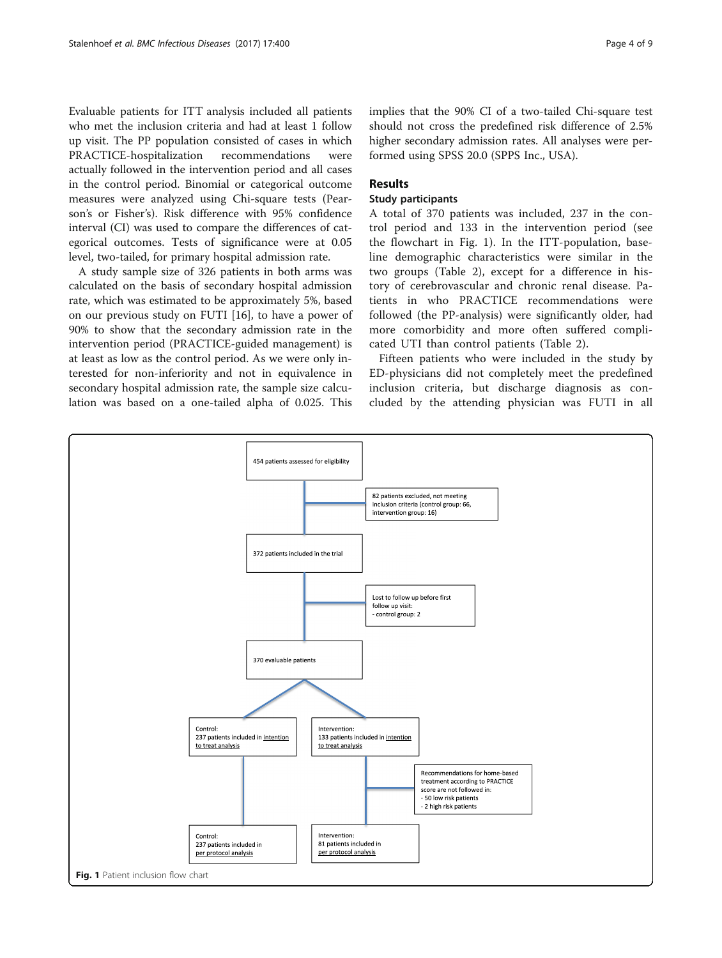Evaluable patients for ITT analysis included all patients who met the inclusion criteria and had at least 1 follow up visit. The PP population consisted of cases in which PRACTICE-hospitalization recommendations were actually followed in the intervention period and all cases in the control period. Binomial or categorical outcome measures were analyzed using Chi-square tests (Pearson's or Fisher's). Risk difference with 95% confidence interval (CI) was used to compare the differences of categorical outcomes. Tests of significance were at 0.05 level, two-tailed, for primary hospital admission rate.

A study sample size of 326 patients in both arms was calculated on the basis of secondary hospital admission rate, which was estimated to be approximately 5%, based on our previous study on FUTI [\[16\]](#page-8-0), to have a power of 90% to show that the secondary admission rate in the intervention period (PRACTICE-guided management) is at least as low as the control period. As we were only interested for non-inferiority and not in equivalence in secondary hospital admission rate, the sample size calculation was based on a one-tailed alpha of 0.025. This implies that the 90% CI of a two-tailed Chi-square test should not cross the predefined risk difference of 2.5% higher secondary admission rates. All analyses were performed using SPSS 20.0 (SPPS Inc., USA).

# Results

# Study participants

A total of 370 patients was included, 237 in the control period and 133 in the intervention period (see the flowchart in Fig. 1). In the ITT-population, baseline demographic characteristics were similar in the two groups (Table [2\)](#page-4-0), except for a difference in history of cerebrovascular and chronic renal disease. Patients in who PRACTICE recommendations were followed (the PP-analysis) were significantly older, had more comorbidity and more often suffered complicated UTI than control patients (Table [2](#page-4-0)).

Fifteen patients who were included in the study by ED-physicians did not completely meet the predefined inclusion criteria, but discharge diagnosis as concluded by the attending physician was FUTI in all

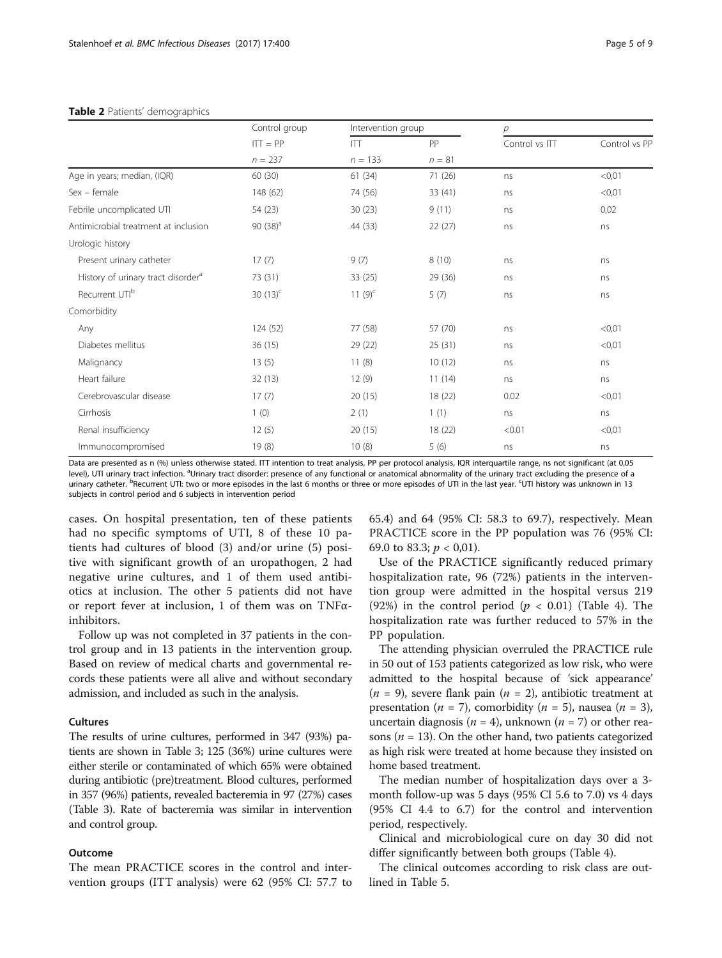#### <span id="page-4-0"></span>Table 2 Patients' demographics

|                                                | Control group | Intervention group |          | р              |               |  |
|------------------------------------------------|---------------|--------------------|----------|----------------|---------------|--|
|                                                | $IT = PP$     | $\Pi$              | PP       | Control vs ITT | Control vs PP |  |
|                                                | $n = 237$     | $n = 133$          | $n = 81$ |                |               |  |
| Age in years; median, (IQR)                    | 60 (30)       | 61(34)             | 71(26)   | ns             | < 0.01        |  |
| Sex - female                                   | 148 (62)      | 74 (56)            | 33 (41)  | ns             | < 0.01        |  |
| Febrile uncomplicated UTI                      | 54 (23)       | 30(23)             | 9(11)    | ns             | 0,02          |  |
| Antimicrobial treatment at inclusion           | 90 $(38)^{a}$ | 44 (33)            | 22(27)   | ns             | ns            |  |
| Urologic history                               |               |                    |          |                |               |  |
| Present urinary catheter                       | 17(7)         | 9(7)               | 8(10)    | ns             | ns            |  |
| History of urinary tract disorder <sup>a</sup> | 73 (31)       | 33 (25)            | 29 (36)  | ns             | ns            |  |
| Recurrent UTI <sup>b</sup>                     | 30 $(13)^c$   | 11 $(9)^c$         | 5(7)     | ns             | ns            |  |
| Comorbidity                                    |               |                    |          |                |               |  |
| Any                                            | 124 (52)      | 77 (58)            | 57 (70)  | ns             | < 0.01        |  |
| Diabetes mellitus                              | 36(15)        | 29 (22)            | 25(31)   | ns             | < 0.01        |  |
| Malignancy                                     | 13(5)         | 11(8)              | 10(12)   | ns             | ns            |  |
| Heart failure                                  | 32 (13)       | 12 (9)             | 11(14)   | ns             | ns            |  |
| Cerebrovascular disease                        | 17(7)         | 20 (15)            | 18 (22)  | 0.02           | < 0.01        |  |
| Cirrhosis                                      | 1(0)          | 2(1)               | 1(1)     | ns             | ns            |  |
| Renal insufficiency                            | 12(5)         | 20(15)             | 18 (22)  | < 0.01         | < 0.01        |  |
| Immunocompromised                              | 19(8)         | 10(8)              | 5(6)     | ns             | ns            |  |

Data are presented as n (%) unless otherwise stated. ITT intention to treat analysis, PP per protocol analysis, IQR interquartile range, ns not significant (at 0,05 level), UTI urinary tract infection. <sup>a</sup>Urinary tract disorder: presence of any functional or anatomical abnormality of the urinary tract excluding the presence of a urinary catheter. <sup>b</sup>Recurrent UTI: two or more episodes in the last 6 months or three or more episodes of UTI in the last year. <sup>C</sup>UTI history was unknown in 13 subjects in control period and 6 subjects in intervention period

cases. On hospital presentation, ten of these patients had no specific symptoms of UTI, 8 of these 10 patients had cultures of blood (3) and/or urine (5) positive with significant growth of an uropathogen, 2 had negative urine cultures, and 1 of them used antibiotics at inclusion. The other 5 patients did not have or report fever at inclusion, 1 of them was on TNFαinhibitors.

Follow up was not completed in 37 patients in the control group and in 13 patients in the intervention group. Based on review of medical charts and governmental records these patients were all alive and without secondary admission, and included as such in the analysis.

# **Cultures**

The results of urine cultures, performed in 347 (93%) patients are shown in Table [3;](#page-5-0) 125 (36%) urine cultures were either sterile or contaminated of which 65% were obtained during antibiotic (pre)treatment. Blood cultures, performed in 357 (96%) patients, revealed bacteremia in 97 (27%) cases (Table [3](#page-5-0)). Rate of bacteremia was similar in intervention and control group.

# Outcome

The mean PRACTICE scores in the control and intervention groups (ITT analysis) were 62 (95% CI: 57.7 to

65.4) and 64 (95% CI: 58.3 to 69.7), respectively. Mean PRACTICE score in the PP population was 76 (95% CI: 69.0 to 83.3;  $p < 0.01$ ).

Use of the PRACTICE significantly reduced primary hospitalization rate, 96 (72%) patients in the intervention group were admitted in the hospital versus 219 (92%) in the control period ( $p < 0.01$ ) (Table [4](#page-6-0)). The hospitalization rate was further reduced to 57% in the PP population.

The attending physician overruled the PRACTICE rule in 50 out of 153 patients categorized as low risk, who were admitted to the hospital because of 'sick appearance'  $(n = 9)$ , severe flank pain  $(n = 2)$ , antibiotic treatment at presentation (*n* = 7), comorbidity (*n* = 5), nausea (*n* = 3), uncertain diagnosis ( $n = 4$ ), unknown ( $n = 7$ ) or other reasons ( $n = 13$ ). On the other hand, two patients categorized as high risk were treated at home because they insisted on home based treatment.

The median number of hospitalization days over a 3 month follow-up was 5 days (95% CI 5.6 to 7.0) vs 4 days (95% CI 4.4 to 6.7) for the control and intervention period, respectively.

Clinical and microbiological cure on day 30 did not differ significantly between both groups (Table [4](#page-6-0)).

The clinical outcomes according to risk class are outlined in Table [5.](#page-6-0)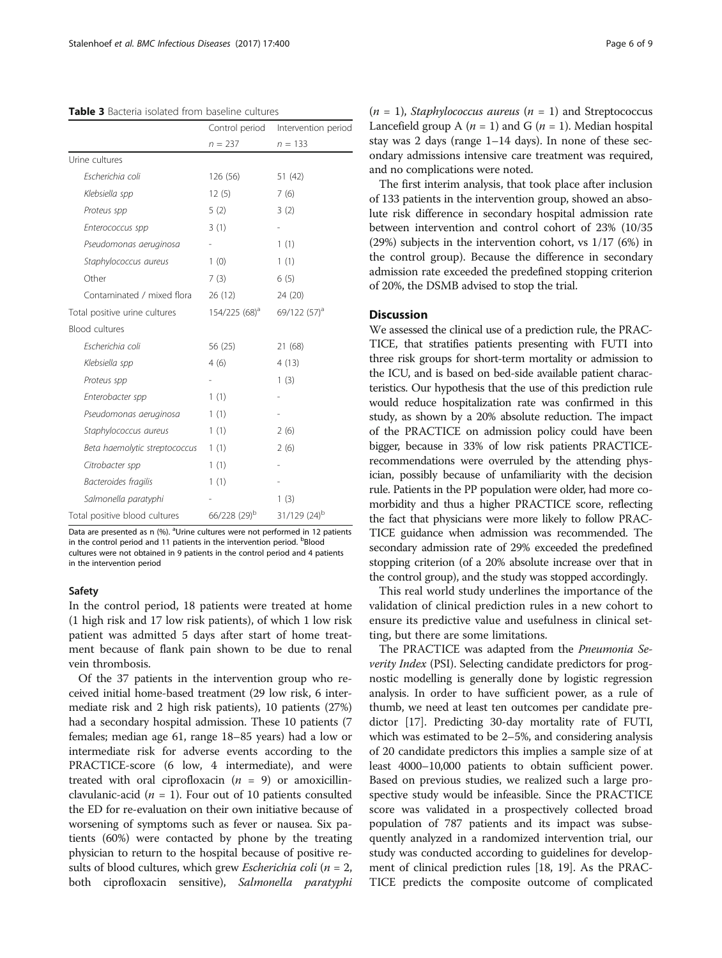<span id="page-5-0"></span>Table 3 Bacteria isolated from baseline cultures

|                               | Control period            | Intervention period      |
|-------------------------------|---------------------------|--------------------------|
|                               | $n = 237$                 | $n = 133$                |
| Urine cultures                |                           |                          |
| Escherichia coli              | 126 (56)                  | 51 (42)                  |
| Klebsiella spp                | 12(5)                     | 7(6)                     |
| Proteus spp                   | 5(2)                      | 3(2)                     |
| Enterococcus spp              | 3(1)                      |                          |
| Pseudomonas aeruginosa        |                           | 1(1)                     |
| Staphylococcus aureus         | 1(0)                      | 1(1)                     |
| Other                         | 7(3)                      | 6(5)                     |
| Contaminated / mixed flora    | 26 (12)                   | 24 (20)                  |
| Total positive urine cultures | 154/225 (68) <sup>a</sup> | $69/122(57)^a$           |
| <b>Blood cultures</b>         |                           |                          |
| Escherichia coli              | 56 (25)                   | 21 (68)                  |
| Klebsiella spp                | 4(6)                      | 4(13)                    |
| Proteus spp                   |                           | 1(3)                     |
| Enterobacter spp              | 1(1)                      |                          |
| Pseudomonas aeruginosa        | 1(1)                      |                          |
| Staphylococcus aureus         | 1(1)                      | 2(6)                     |
| Beta haemolytic streptococcus | 1(1)                      | 2(6)                     |
| Citrobacter spp               | 1(1)                      |                          |
| Bacteroides fragilis          | 1(1)                      |                          |
| Salmonella paratyphi          |                           | 1(3)                     |
| Total positive blood cultures | 66/228 (29) <sup>b</sup>  | 31/129 (24) <sup>b</sup> |

Data are presented as n (%). <sup>a</sup>Urine cultures were not performed in 12 patients in the control period and 11 patients in the intervention period. <sup>b</sup>Blood cultures were not obtained in 9 patients in the control period and 4 patients in the intervention period

#### Safety

In the control period, 18 patients were treated at home (1 high risk and 17 low risk patients), of which 1 low risk patient was admitted 5 days after start of home treatment because of flank pain shown to be due to renal vein thrombosis.

Of the 37 patients in the intervention group who received initial home-based treatment (29 low risk, 6 intermediate risk and 2 high risk patients), 10 patients (27%) had a secondary hospital admission. These 10 patients (7 females; median age 61, range 18–85 years) had a low or intermediate risk for adverse events according to the PRACTICE-score (6 low, 4 intermediate), and were treated with oral ciprofloxacin  $(n = 9)$  or amoxicillinclavulanic-acid ( $n = 1$ ). Four out of 10 patients consulted the ED for re-evaluation on their own initiative because of worsening of symptoms such as fever or nausea. Six patients (60%) were contacted by phone by the treating physician to return to the hospital because of positive results of blood cultures, which grew *Escherichia coli* ( $n = 2$ , both ciprofloxacin sensitive), Salmonella paratyphi

 $(n = 1)$ , *Staphylococcus aureus*  $(n = 1)$  and *Streptococcus* Lancefield group A ( $n = 1$ ) and G ( $n = 1$ ). Median hospital stay was 2 days (range 1–14 days). In none of these secondary admissions intensive care treatment was required, and no complications were noted.

The first interim analysis, that took place after inclusion of 133 patients in the intervention group, showed an absolute risk difference in secondary hospital admission rate between intervention and control cohort of 23% (10/35 (29%) subjects in the intervention cohort, vs 1/17 (6%) in the control group). Because the difference in secondary admission rate exceeded the predefined stopping criterion of 20%, the DSMB advised to stop the trial.

# **Discussion**

We assessed the clinical use of a prediction rule, the PRAC-TICE, that stratifies patients presenting with FUTI into three risk groups for short-term mortality or admission to the ICU, and is based on bed-side available patient characteristics. Our hypothesis that the use of this prediction rule would reduce hospitalization rate was confirmed in this study, as shown by a 20% absolute reduction. The impact of the PRACTICE on admission policy could have been bigger, because in 33% of low risk patients PRACTICErecommendations were overruled by the attending physician, possibly because of unfamiliarity with the decision rule. Patients in the PP population were older, had more comorbidity and thus a higher PRACTICE score, reflecting the fact that physicians were more likely to follow PRAC-TICE guidance when admission was recommended. The secondary admission rate of 29% exceeded the predefined stopping criterion (of a 20% absolute increase over that in the control group), and the study was stopped accordingly.

This real world study underlines the importance of the validation of clinical prediction rules in a new cohort to ensure its predictive value and usefulness in clinical setting, but there are some limitations.

The PRACTICE was adapted from the Pneumonia Severity Index (PSI). Selecting candidate predictors for prognostic modelling is generally done by logistic regression analysis. In order to have sufficient power, as a rule of thumb, we need at least ten outcomes per candidate predictor [\[17\]](#page-8-0). Predicting 30-day mortality rate of FUTI, which was estimated to be 2–5%, and considering analysis of 20 candidate predictors this implies a sample size of at least 4000–10,000 patients to obtain sufficient power. Based on previous studies, we realized such a large prospective study would be infeasible. Since the PRACTICE score was validated in a prospectively collected broad population of 787 patients and its impact was subsequently analyzed in a randomized intervention trial, our study was conducted according to guidelines for development of clinical prediction rules [\[18](#page-8-0), [19\]](#page-8-0). As the PRAC-TICE predicts the composite outcome of complicated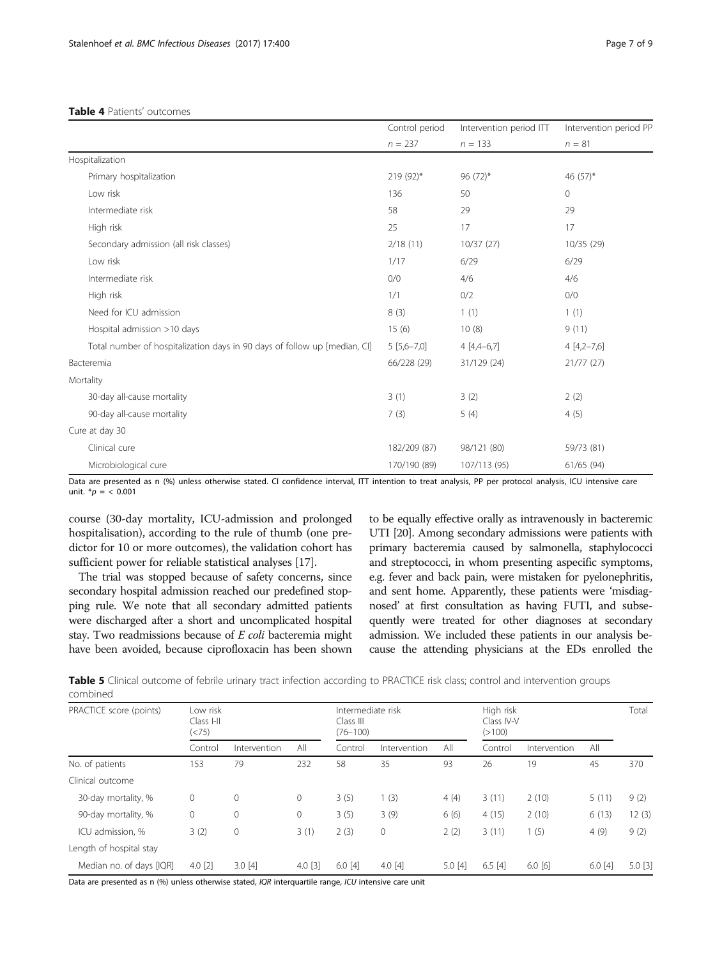#### <span id="page-6-0"></span>Table 4 Patients' outcomes

|                                                                           | Control period | Intervention period ITT | Intervention period PP |
|---------------------------------------------------------------------------|----------------|-------------------------|------------------------|
|                                                                           | $n = 237$      | $n = 133$               | $n = 81$               |
| Hospitalization                                                           |                |                         |                        |
| Primary hospitalization                                                   | 219 (92)*      | 96 $(72)$ *             | 46 (57)*               |
| Low risk                                                                  | 136            | 50                      | $\circ$                |
| Intermediate risk                                                         | 58             | 29                      | 29                     |
| High risk                                                                 | 25             | 17                      | 17                     |
| Secondary admission (all risk classes)                                    | 2/18(11)       | 10/37 (27)              | 10/35 (29)             |
| Low risk                                                                  | 1/17           | 6/29                    | 6/29                   |
| Intermediate risk                                                         | 0/0            | 4/6                     | 4/6                    |
| High risk                                                                 | 1/1            | 0/2                     | 0/0                    |
| Need for ICU admission                                                    | 8(3)           | 1(1)                    | 1(1)                   |
| Hospital admission >10 days                                               | 15(6)          | 10(8)                   | 9(11)                  |
| Total number of hospitalization days in 90 days of follow up [median, CI] | $5[5,6-7,0]$   | $4[4,4-6,7]$            | $4[4,2-7,6]$           |
| Bacteremia                                                                | 66/228 (29)    | 31/129 (24)             | 21/77(27)              |
| Mortality                                                                 |                |                         |                        |
| 30-day all-cause mortality                                                | 3(1)           | 3(2)                    | 2(2)                   |
| 90-day all-cause mortality                                                | 7(3)           | 5(4)                    | 4(5)                   |
| Cure at day 30                                                            |                |                         |                        |
| Clinical cure                                                             | 182/209 (87)   | 98/121 (80)             | 59/73 (81)             |
| Microbiological cure                                                      | 170/190 (89)   | 107/113 (95)            | 61/65 (94)             |

Data are presented as n (%) unless otherwise stated. CI confidence interval, ITT intention to treat analysis, PP per protocol analysis, ICU intensive care unit.  ${}^{\ast}p = \langle 0.001$ 

course (30-day mortality, ICU-admission and prolonged hospitalisation), according to the rule of thumb (one predictor for 10 or more outcomes), the validation cohort has sufficient power for reliable statistical analyses [[17](#page-8-0)].

The trial was stopped because of safety concerns, since secondary hospital admission reached our predefined stopping rule. We note that all secondary admitted patients were discharged after a short and uncomplicated hospital stay. Two readmissions because of E coli bacteremia might have been avoided, because ciprofloxacin has been shown to be equally effective orally as intravenously in bacteremic UTI [\[20\]](#page-8-0). Among secondary admissions were patients with primary bacteremia caused by salmonella, staphylococci and streptococci, in whom presenting aspecific symptoms, e.g. fever and back pain, were mistaken for pyelonephritis, and sent home. Apparently, these patients were 'misdiagnosed' at first consultation as having FUTI, and subsequently were treated for other diagnoses at secondary admission. We included these patients in our analysis because the attending physicians at the EDs enrolled the

Table 5 Clinical outcome of febrile urinary tract infection according to PRACTICE risk class; control and intervention groups combined

| PRACTICE score (points)  | I ow risk<br>Class I-II<br>(< 75) |              | Intermediate risk<br>Class III<br>$(76 - 100)$ |         | High risk<br>Class IV-V<br>(>100) |         | Total     |              |           |           |
|--------------------------|-----------------------------------|--------------|------------------------------------------------|---------|-----------------------------------|---------|-----------|--------------|-----------|-----------|
|                          | Control                           | Intervention | All                                            | Control | Intervention                      | All     | Control   | Intervention | All       |           |
| No. of patients          | 153                               | 79           | 232                                            | 58      | 35                                | 93      | 26        | 19           | 45        | 370       |
| Clinical outcome         |                                   |              |                                                |         |                                   |         |           |              |           |           |
| 30-day mortality, %      | 0                                 | $\mathbf{0}$ | $\mathbf 0$                                    | 3(5)    | 1(3)                              | 4(4)    | 3(11)     | 2(10)        | 5(11)     | 9(2)      |
| 90-day mortality, %      | 0                                 | $\mathbf{0}$ | $\mathbf 0$                                    | 3(5)    | 3(9)                              | 6(6)    | 4(15)     | 2(10)        | 6(13)     | 12(3)     |
| ICU admission, %         | 3(2)                              | $\mathbf{0}$ | 3(1)                                           | 2(3)    | $\mathbf 0$                       | 2(2)    | 3(11)     | 1(5)         | 4(9)      | 9(2)      |
| Length of hospital stay  |                                   |              |                                                |         |                                   |         |           |              |           |           |
| Median no. of days [IQR] | $4.0$ [2]                         | 3.0 [4]      | $4.0$ [3]                                      | 6.0[4]  | 4.0[4]                            | 5.0 [4] | $6.5$ [4] | $6.0$ [6]    | $6.0$ [4] | $5.0$ [3] |

Data are presented as n (%) unless otherwise stated, IQR interquartile range, ICU intensive care unit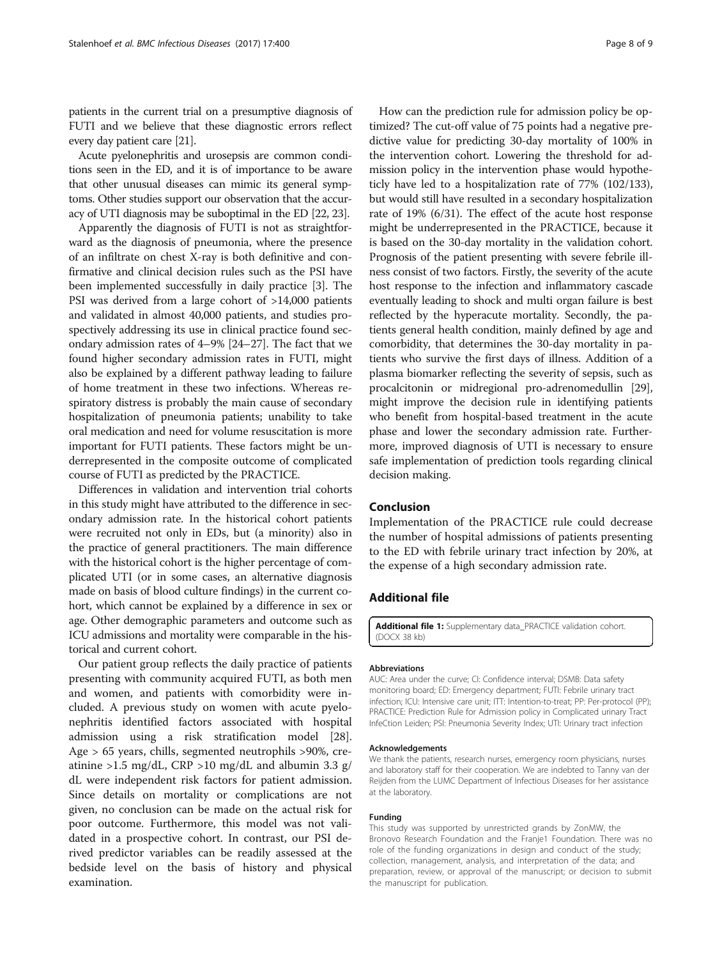<span id="page-7-0"></span>patients in the current trial on a presumptive diagnosis of FUTI and we believe that these diagnostic errors reflect every day patient care [\[21\]](#page-8-0).

Acute pyelonephritis and urosepsis are common conditions seen in the ED, and it is of importance to be aware that other unusual diseases can mimic its general symptoms. Other studies support our observation that the accuracy of UTI diagnosis may be suboptimal in the ED [\[22](#page-8-0), [23\]](#page-8-0).

Apparently the diagnosis of FUTI is not as straightforward as the diagnosis of pneumonia, where the presence of an infiltrate on chest X-ray is both definitive and confirmative and clinical decision rules such as the PSI have been implemented successfully in daily practice [[3](#page-8-0)]. The PSI was derived from a large cohort of >14,000 patients and validated in almost 40,000 patients, and studies prospectively addressing its use in clinical practice found secondary admission rates of 4–9% [\[24](#page-8-0)–[27](#page-8-0)]. The fact that we found higher secondary admission rates in FUTI, might also be explained by a different pathway leading to failure of home treatment in these two infections. Whereas respiratory distress is probably the main cause of secondary hospitalization of pneumonia patients; unability to take oral medication and need for volume resuscitation is more important for FUTI patients. These factors might be underrepresented in the composite outcome of complicated course of FUTI as predicted by the PRACTICE.

Differences in validation and intervention trial cohorts in this study might have attributed to the difference in secondary admission rate. In the historical cohort patients were recruited not only in EDs, but (a minority) also in the practice of general practitioners. The main difference with the historical cohort is the higher percentage of complicated UTI (or in some cases, an alternative diagnosis made on basis of blood culture findings) in the current cohort, which cannot be explained by a difference in sex or age. Other demographic parameters and outcome such as ICU admissions and mortality were comparable in the historical and current cohort.

Our patient group reflects the daily practice of patients presenting with community acquired FUTI, as both men and women, and patients with comorbidity were included. A previous study on women with acute pyelonephritis identified factors associated with hospital admission using a risk stratification model [\[28](#page-8-0)]. Age > 65 years, chills, segmented neutrophils >90%, creatinine >1.5 mg/dL, CRP >10 mg/dL and albumin 3.3 g/ dL were independent risk factors for patient admission. Since details on mortality or complications are not given, no conclusion can be made on the actual risk for poor outcome. Furthermore, this model was not validated in a prospective cohort. In contrast, our PSI derived predictor variables can be readily assessed at the bedside level on the basis of history and physical examination.

How can the prediction rule for admission policy be optimized? The cut-off value of 75 points had a negative predictive value for predicting 30-day mortality of 100% in the intervention cohort. Lowering the threshold for admission policy in the intervention phase would hypotheticly have led to a hospitalization rate of 77% (102/133), but would still have resulted in a secondary hospitalization rate of 19% (6/31). The effect of the acute host response might be underrepresented in the PRACTICE, because it is based on the 30-day mortality in the validation cohort. Prognosis of the patient presenting with severe febrile illness consist of two factors. Firstly, the severity of the acute host response to the infection and inflammatory cascade eventually leading to shock and multi organ failure is best reflected by the hyperacute mortality. Secondly, the patients general health condition, mainly defined by age and comorbidity, that determines the 30-day mortality in patients who survive the first days of illness. Addition of a plasma biomarker reflecting the severity of sepsis, such as procalcitonin or midregional pro-adrenomedullin [[29](#page-8-0)], might improve the decision rule in identifying patients who benefit from hospital-based treatment in the acute phase and lower the secondary admission rate. Furthermore, improved diagnosis of UTI is necessary to ensure safe implementation of prediction tools regarding clinical decision making.

# Conclusion

Implementation of the PRACTICE rule could decrease the number of hospital admissions of patients presenting to the ED with febrile urinary tract infection by 20%, at the expense of a high secondary admission rate.

# Additional file

[Additional file 1:](dx.doi.org/10.1186/s12879-017-2509-3) Supplementary data\_PRACTICE validation cohort. (DOCX 38 kb)

#### Abbreviations

AUC: Area under the curve; CI: Confidence interval; DSMB: Data safety monitoring board; ED: Emergency department; FUTI: Febrile urinary tract infection; ICU: Intensive care unit; ITT: Intention-to-treat; PP: Per-protocol (PP); PRACTICE: Prediction Rule for Admission policy in Complicated urinary Tract InfeCtion Leiden; PSI: Pneumonia Severity Index; UTI: Urinary tract infection

#### Acknowledgements

We thank the patients, research nurses, emergency room physicians, nurses and laboratory staff for their cooperation. We are indebted to Tanny van der Reijden from the LUMC Department of Infectious Diseases for her assistance at the laboratory.

#### Funding

This study was supported by unrestricted grands by ZonMW, the Bronovo Research Foundation and the Franje1 Foundation. There was no role of the funding organizations in design and conduct of the study; collection, management, analysis, and interpretation of the data; and preparation, review, or approval of the manuscript; or decision to submit the manuscript for publication.